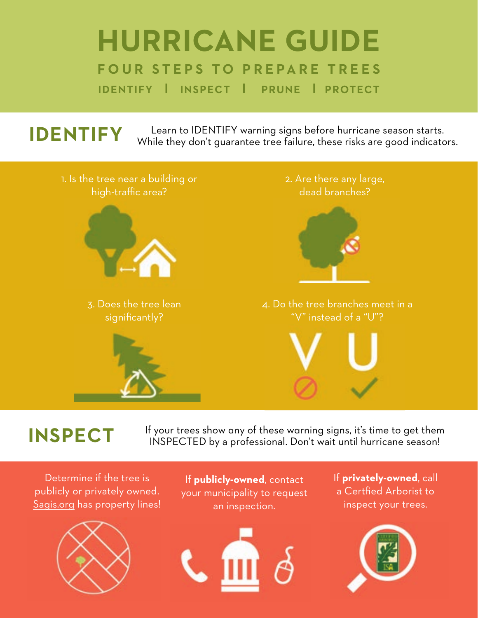### **HURRICANE GUIDE FOUR STEPS TO PREPARE TREES IDENTIFY l INSPECT l PRUNE l PROTECT**

# **IDENTIFY** Learn to IDENTIFY warning signs before hurricane season starts.<br>While they don't guarantee tree failure, these risks are good indicators.



**INSPECT** If your trees show any of these warning signs, it's time to get them INSPECTED by a professional. Don't wait until hurricane season!

Determine if the tree is publicly or privately owned. Sagis.org has property lines!



If **publicly-owned**, contact your municipality to request an inspection.



If **privately-owned**, call a Certfied Arborist to inspect your trees.